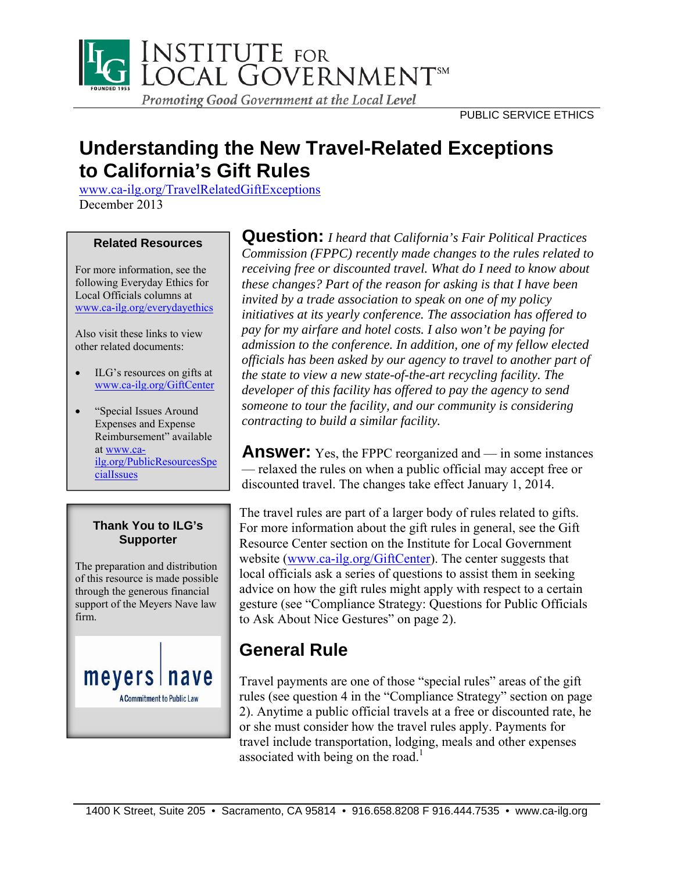

# **Understanding the New Travel-Related Exceptions to California's Gift Rules**

www.ca-ilg.org/TravelRelatedGiftExceptions December 2013

#### **Related Resources**

For more information, see the following Everyday Ethics for Local Officials columns at www.ca-ilg.org/everydayethics

Also visit these links to view other related documents:

- ILG's resources on gifts at www.ca-ilg.org/GiftCenter
- "Special Issues Around" Expenses and Expense Reimbursement" available at www.cailg.org/PublicResourcesSpe cialIssues

### **Thank You to ILG's Supporter**

The preparation and distribution of this resource is made possible through the generous financial support of the Meyers Nave law firm.



**Question:** *I heard that California's Fair Political Practices Commission (FPPC) recently made changes to the rules related to receiving free or discounted travel. What do I need to know about these changes? Part of the reason for asking is that I have been invited by a trade association to speak on one of my policy initiatives at its yearly conference. The association has offered to pay for my airfare and hotel costs. I also won't be paying for admission to the conference. In addition, one of my fellow elected officials has been asked by our agency to travel to another part of the state to view a new state-of-the-art recycling facility. The developer of this facility has offered to pay the agency to send someone to tour the facility, and our community is considering contracting to build a similar facility.* 

**Answer:** Yes, the FPPC reorganized and — in some instances — relaxed the rules on when a public official may accept free or discounted travel. The changes take effect January 1, 2014.

The travel rules are part of a larger body of rules related to gifts. For more information about the gift rules in general, see the Gift Resource Center section on the Institute for Local Government website (www.ca-ilg.org/GiftCenter). The center suggests that local officials ask a series of questions to assist them in seeking advice on how the gift rules might apply with respect to a certain gesture (see "Compliance Strategy: Questions for Public Officials to Ask About Nice Gestures" on page 2).

# **General Rule**

Travel payments are one of those "special rules" areas of the gift rules (see question 4 in the "Compliance Strategy" section on page 2). Anytime a public official travels at a free or discounted rate, he or she must consider how the travel rules apply. Payments for travel include transportation, lodging, meals and other expenses associated with being on the road.<sup>1</sup>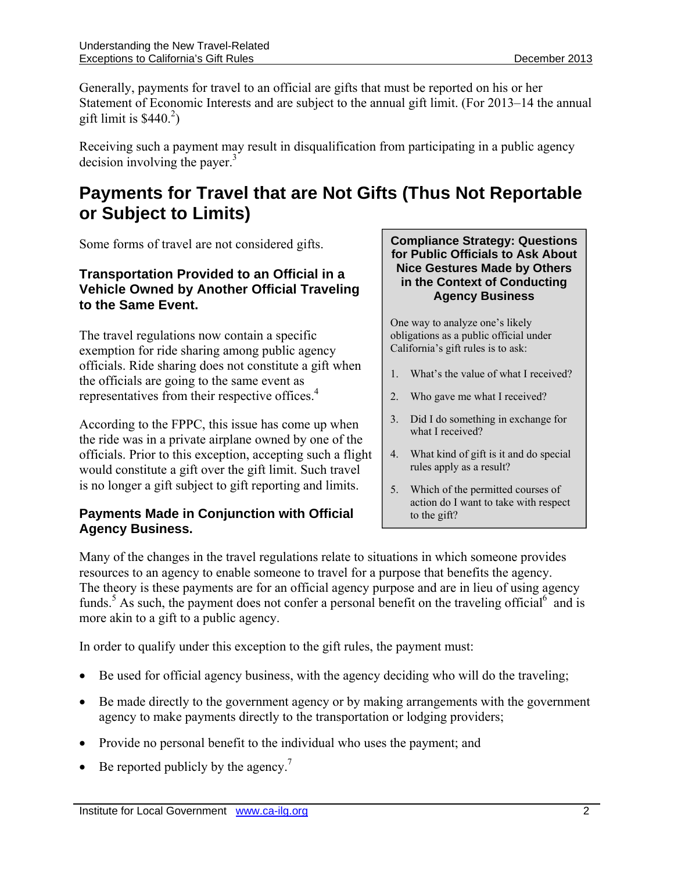Generally, payments for travel to an official are gifts that must be reported on his or her Statement of Economic Interests and are subject to the annual gift limit. (For 2013–14 the annual gift limit is  $$440.<sup>2</sup>$ )

Receiving such a payment may result in disqualification from participating in a public agency decision involving the payer. $3$ 

### **Payments for Travel that are Not Gifts (Thus Not Reportable or Subject to Limits)**

Some forms of travel are not considered gifts.

### **Transportation Provided to an Official in a Vehicle Owned by Another Official Traveling to the Same Event.**

The travel regulations now contain a specific exemption for ride sharing among public agency officials. Ride sharing does not constitute a gift when the officials are going to the same event as representatives from their respective offices.<sup>4</sup>

According to the FPPC, this issue has come up when the ride was in a private airplane owned by one of the officials. Prior to this exception, accepting such a flight would constitute a gift over the gift limit. Such travel is no longer a gift subject to gift reporting and limits.

### **Payments Made in Conjunction with Official Agency Business.**

**Compliance Strategy: Questions for Public Officials to Ask About Nice Gestures Made by Others in the Context of Conducting Agency Business** 

One way to analyze one's likely obligations as a public official under California's gift rules is to ask:

- 1. What's the value of what I received?
- 2. Who gave me what I received?
- 3. Did I do something in exchange for what I received?
- 4. What kind of gift is it and do special rules apply as a result?
- 5. Which of the permitted courses of action do I want to take with respect to the gift?

Many of the changes in the travel regulations relate to situations in which someone provides resources to an agency to enable someone to travel for a purpose that benefits the agency. The theory is these payments are for an official agency purpose and are in lieu of using agency funds.<sup>5</sup> As such, the payment does not confer a personal benefit on the traveling official<sup>6</sup> and is more akin to a gift to a public agency.

In order to qualify under this exception to the gift rules, the payment must:

- Be used for official agency business, with the agency deciding who will do the traveling;
- Be made directly to the government agency or by making arrangements with the government agency to make payments directly to the transportation or lodging providers;
- Provide no personal benefit to the individual who uses the payment; and
- $\bullet$  Be reported publicly by the agency.<sup>7</sup>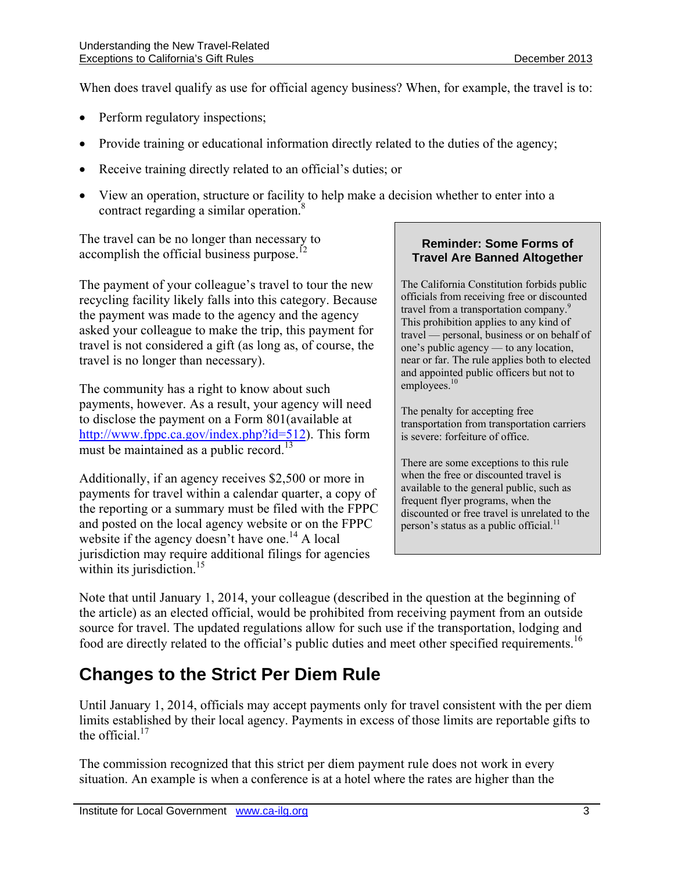When does travel qualify as use for official agency business? When, for example, the travel is to:

- Perform regulatory inspections;
- Provide training or educational information directly related to the duties of the agency;
- Receive training directly related to an official's duties; or
- View an operation, structure or facility to help make a decision whether to enter into a contract regarding a similar operation.<sup>8</sup>

The travel can be no longer than necessary to accomplish the official business purpose.<sup>12</sup>

The payment of your colleague's travel to tour the new recycling facility likely falls into this category. Because the payment was made to the agency and the agency asked your colleague to make the trip, this payment for travel is not considered a gift (as long as, of course, the travel is no longer than necessary).

The community has a right to know about such payments, however. As a result, your agency will need to disclose the payment on a Form 801(available at http://www.fppc.ca.gov/index.php?id=512). This form must be maintained as a public record.<sup>13</sup>

Additionally, if an agency receives \$2,500 or more in payments for travel within a calendar quarter, a copy of the reporting or a summary must be filed with the FPPC and posted on the local agency website or on the FPPC website if the agency doesn't have one.<sup>14</sup> A local jurisdiction may require additional filings for agencies within its jurisdiction. $15$ 

#### **Reminder: Some Forms of Travel Are Banned Altogether**

The California Constitution forbids public officials from receiving free or discounted travel from a transportation company.<sup>9</sup> This prohibition applies to any kind of travel — personal, business or on behalf of one's public agency — to any location, near or far. The rule applies both to elected and appointed public officers but not to employees. $10$ 

The penalty for accepting free transportation from transportation carriers is severe: forfeiture of office.

There are some exceptions to this rule when the free or discounted travel is available to the general public, such as frequent flyer programs, when the discounted or free travel is unrelated to the person's status as a public official.<sup>11</sup>

Note that until January 1, 2014, your colleague (described in the question at the beginning of the article) as an elected official, would be prohibited from receiving payment from an outside source for travel. The updated regulations allow for such use if the transportation, lodging and food are directly related to the official's public duties and meet other specified requirements.<sup>16</sup>

# **Changes to the Strict Per Diem Rule**

Until January 1, 2014, officials may accept payments only for travel consistent with the per diem limits established by their local agency. Payments in excess of those limits are reportable gifts to the official  $17$ 

The commission recognized that this strict per diem payment rule does not work in every situation. An example is when a conference is at a hotel where the rates are higher than the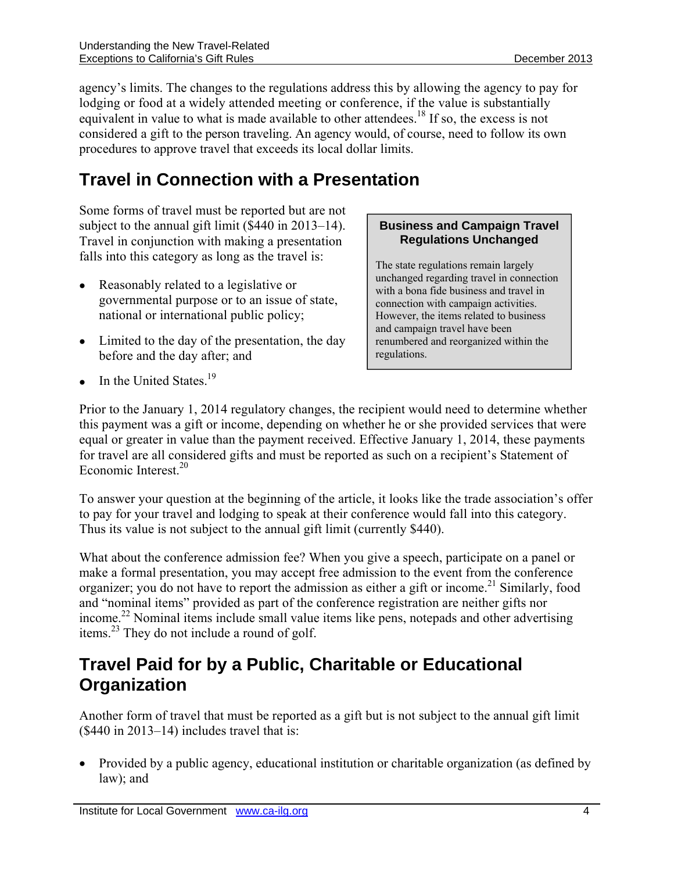agency's limits. The changes to the regulations address this by allowing the agency to pay for lodging or food at a widely attended meeting or conference, if the value is substantially equivalent in value to what is made available to other attendees.<sup>18</sup> If so, the excess is not considered a gift to the person traveling. An agency would, of course, need to follow its own procedures to approve travel that exceeds its local dollar limits.

# **Travel in Connection with a Presentation**

Some forms of travel must be reported but are not subject to the annual gift limit (\$440 in 2013–14). Travel in conjunction with making a presentation falls into this category as long as the travel is:

- Reasonably related to a legislative or governmental purpose or to an issue of state, national or international public policy;
- Limited to the day of the presentation, the day before and the day after; and

#### **Business and Campaign Travel Regulations Unchanged**

The state regulations remain largely unchanged regarding travel in connection with a bona fide business and travel in connection with campaign activities. However, the items related to business and campaign travel have been renumbered and reorganized within the regulations.

 $\bullet$  In the United States.<sup>19</sup>

Prior to the January 1, 2014 regulatory changes, the recipient would need to determine whether this payment was a gift or income, depending on whether he or she provided services that were equal or greater in value than the payment received. Effective January 1, 2014, these payments for travel are all considered gifts and must be reported as such on a recipient's Statement of Economic Interest.<sup>20</sup>

To answer your question at the beginning of the article, it looks like the trade association's offer to pay for your travel and lodging to speak at their conference would fall into this category. Thus its value is not subject to the annual gift limit (currently \$440).

What about the conference admission fee? When you give a speech, participate on a panel or make a formal presentation, you may accept free admission to the event from the conference organizer; you do not have to report the admission as either a gift or income.<sup>21</sup> Similarly, food and "nominal items" provided as part of the conference registration are neither gifts nor income.22 Nominal items include small value items like pens, notepads and other advertising items.23 They do not include a round of golf.

### **Travel Paid for by a Public, Charitable or Educational Organization**

Another form of travel that must be reported as a gift but is not subject to the annual gift limit  $($440 in 2013–14)$  includes travel that is:

 Provided by a public agency, educational institution or charitable organization (as defined by law); and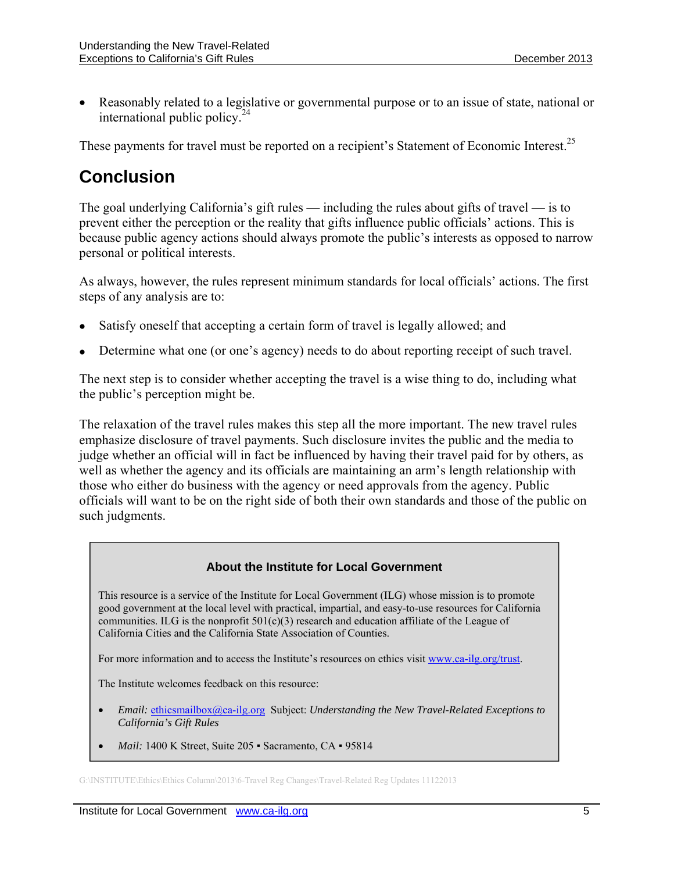Reasonably related to a legislative or governmental purpose or to an issue of state, national or international public policy.<sup>24</sup>

These payments for travel must be reported on a recipient's Statement of Economic Interest.<sup>25</sup>

# **Conclusion**

The goal underlying California's gift rules — including the rules about gifts of travel — is to prevent either the perception or the reality that gifts influence public officials' actions. This is because public agency actions should always promote the public's interests as opposed to narrow personal or political interests.

As always, however, the rules represent minimum standards for local officials' actions. The first steps of any analysis are to:

- Satisfy oneself that accepting a certain form of travel is legally allowed; and
- Determine what one (or one's agency) needs to do about reporting receipt of such travel.

The next step is to consider whether accepting the travel is a wise thing to do, including what the public's perception might be.

The relaxation of the travel rules makes this step all the more important. The new travel rules emphasize disclosure of travel payments. Such disclosure invites the public and the media to judge whether an official will in fact be influenced by having their travel paid for by others, as well as whether the agency and its officials are maintaining an arm's length relationship with those who either do business with the agency or need approvals from the agency. Public officials will want to be on the right side of both their own standards and those of the public on such judgments.

#### **About the Institute for Local Government**

This resource is a service of the Institute for Local Government (ILG) whose mission is to promote good government at the local level with practical, impartial, and easy-to-use resources for California communities. ILG is the nonprofit  $501(c)(3)$  research and education affiliate of the League of California Cities and the California State Association of Counties.

For more information and to access the Institute's resources on ethics visit www.ca-ilg.org/trust.

The Institute welcomes feedback on this resource:

- *Email:* ethicsmailbox@ca-ilg.org Subject: *Understanding the New Travel-Related Exceptions to California's Gift Rules*
- *Mail:* 1400 K Street, Suite 205 Sacramento, CA 95814

G:\INSTITUTE\Ethics\Ethics Column\2013\6-Travel Reg Changes\Travel-Related Reg Updates 11122013